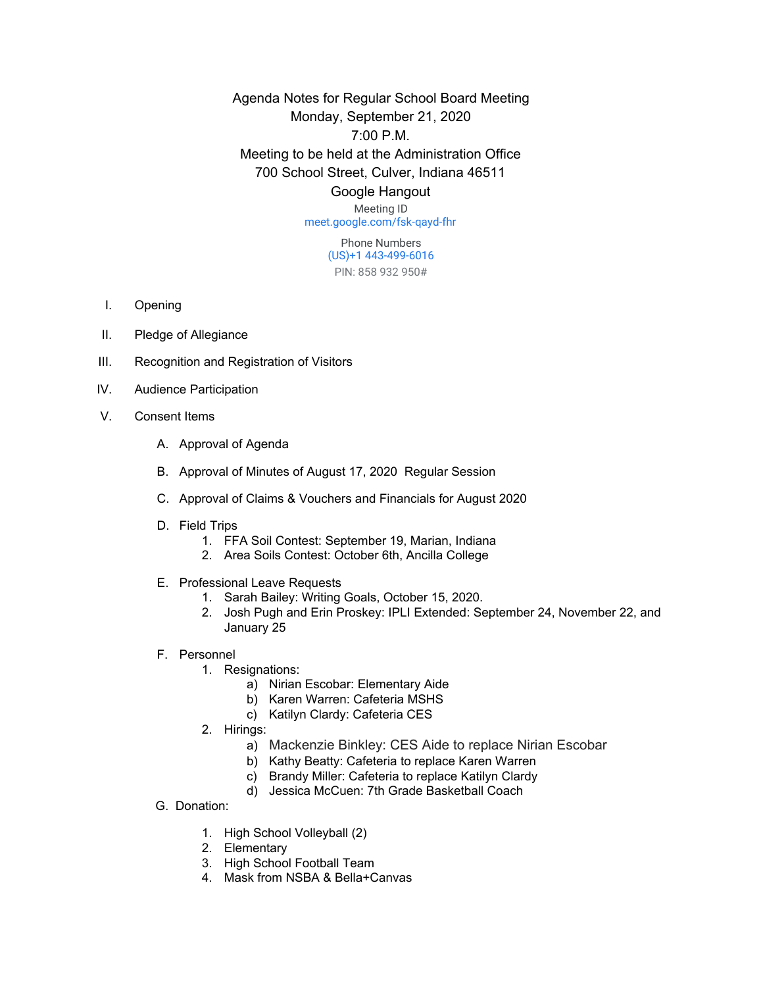Agenda Notes for Regular School Board Meeting Monday, September 21, 2020 7:00 P.M. Meeting to be held at the Administration Office 700 School Street, Culver, Indiana 46511

## Google Hangout

Meeting ID [meet.google.com/fsk-qayd-fhr](https://meet.google.com/fsk-qayd-fhr?hs=122&authuser=0)

> Phone Numbers (US)+1 443-499-6016 PIN: 858 932 950#

- I. Opening
- II. Pledge of Allegiance
- III. Recognition and Registration of Visitors
- IV. Audience Participation
- V. Consent Items
	- A. Approval of Agenda
	- B. Approval of Minutes of August 17, 2020 Regular Session
	- C. Approval of Claims & Vouchers and Financials for August 2020
	- D. Field Trips
		- 1. FFA Soil Contest: September 19, Marian, Indiana
		- 2. Area Soils Contest: October 6th, Ancilla College
	- E. Professional Leave Requests
		- 1. Sarah Bailey: Writing Goals, October 15, 2020.
		- 2. Josh Pugh and Erin Proskey: IPLI Extended: September 24, November 22, and January 25
	- F. Personnel
		- 1. Resignations:
			- a) Nirian Escobar: Elementary Aide
			- b) Karen Warren: Cafeteria MSHS
			- c) Katilyn Clardy: Cafeteria CES
		- 2. Hirings:
			- a) Mackenzie Binkley: CES Aide to replace Nirian Escobar
			- b) Kathy Beatty: Cafeteria to replace Karen Warren
			- c) Brandy Miller: Cafeteria to replace Katilyn Clardy
			- d) Jessica McCuen: 7th Grade Basketball Coach
	- G. Donation:
		- 1. High School Volleyball (2)
		- 2. Elementary
		- 3. High School Football Team
		- 4. Mask from NSBA & Bella+Canvas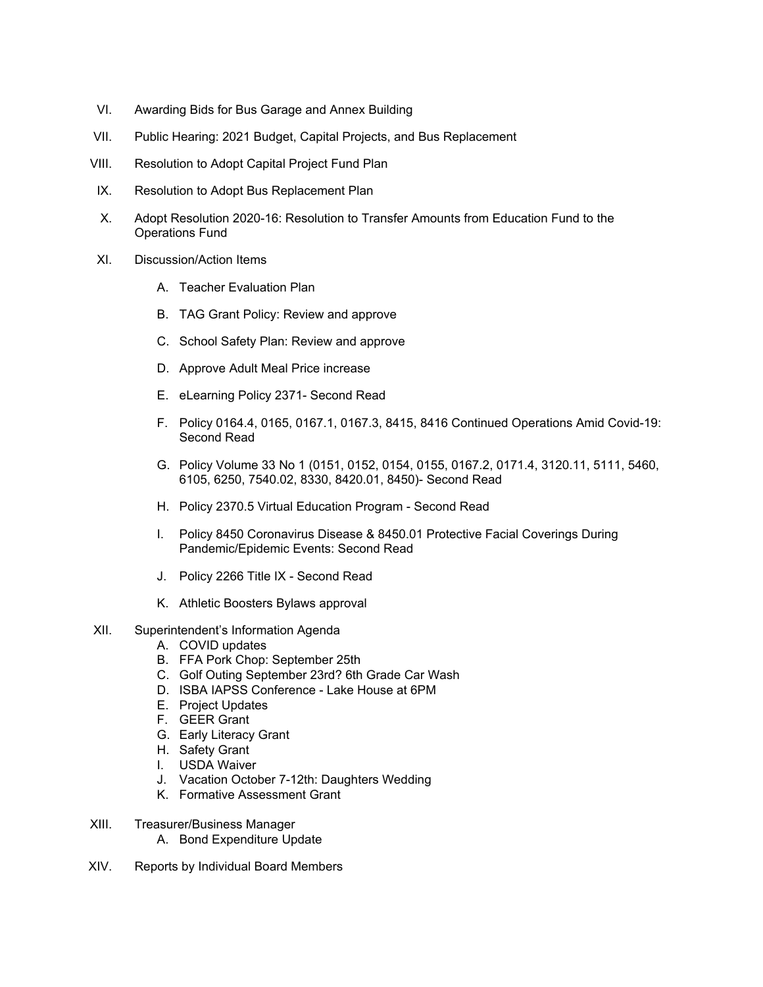- VI. Awarding Bids for Bus Garage and Annex Building
- VII. Public Hearing: 2021 Budget, Capital Projects, and Bus Replacement
- VIII. Resolution to Adopt Capital Project Fund Plan
- IX. Resolution to Adopt Bus Replacement Plan
- X. Adopt Resolution 2020-16: Resolution to Transfer Amounts from Education Fund to the Operations Fund
- XI. Discussion/Action Items
	- A. Teacher Evaluation Plan
	- B. TAG Grant Policy: Review and approve
	- C. School Safety Plan: Review and approve
	- D. Approve Adult Meal Price increase
	- E. eLearning Policy 2371- Second Read
	- F. Policy 0164.4, 0165, 0167.1, 0167.3, 8415, 8416 Continued Operations Amid Covid-19: Second Read
	- G. Policy Volume 33 No 1 (0151, 0152, 0154, 0155, 0167.2, 0171.4, 3120.11, 5111, 5460, 6105, 6250, 7540.02, 8330, 8420.01, 8450)- Second Read
	- H. Policy 2370.5 Virtual Education Program Second Read
	- I. Policy 8450 Coronavirus Disease & 8450.01 Protective Facial Coverings During Pandemic/Epidemic Events: Second Read
	- J. Policy 2266 Title IX Second Read
	- K. Athletic Boosters Bylaws approval
- XII. Superintendent's Information Agenda
	- A. COVID updates
	- B. FFA Pork Chop: September 25th
	- C. Golf Outing September 23rd? 6th Grade Car Wash
	- D. ISBA IAPSS Conference Lake House at 6PM
	- E. Project Updates
	- F. GEER Grant
	- G. Early Literacy Grant
	- H. Safety Grant
	- I. USDA Waiver
	- J. Vacation October 7-12th: Daughters Wedding
	- K. Formative Assessment Grant
- XIII. Treasurer/Business Manager
	- A. Bond Expenditure Update
- XIV. Reports by Individual Board Members